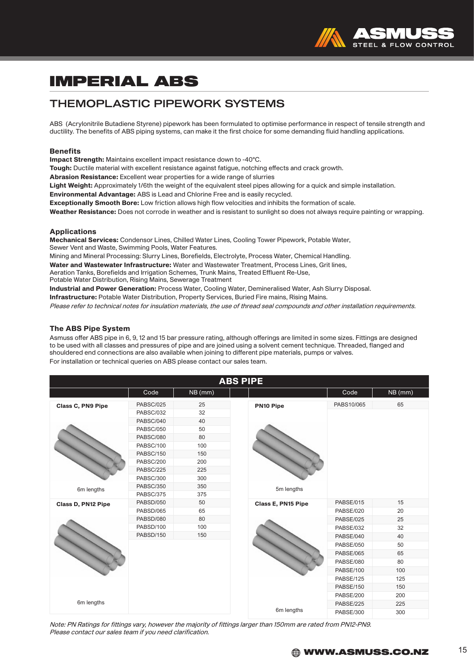

### THEMOPLASTIC PIPEWORK SYSTEMS

ABS (Acrylonitrile Butadiene Styrene) pipework has been formulated to optimise performance in respect of tensile strength and ductility. The benefits of ABS piping systems, can make it the first choice for some demanding fluid handling applications.

#### **Benefits**

Impact Strength: Maintains excellent impact resistance down to -40°C.

Tough: Ductile material with excellent resistance against fatigue, notching effects and crack growth.

Abrasion Resistance: Excellent wear properties for a wide range of slurries

Light Weight: Approximately 1/6th the weight of the equivalent steel pipes allowing for a quick and simple installation.

Environmental Advantage: ABS is Lead and Chlorine Free and is easily recycled.

Exceptionally Smooth Bore: Low friction allows high flow velocities and inhibits the formation of scale.

Weather Resistance: Does not corrode in weather and is resistant to sunlight so does not always require painting or wrapping.

#### Applications

Mechanical Services: Condensor Lines, Chilled Water Lines, Cooling Tower Pipework, Potable Water, Sewer Vent and Waste, Swimming Pools, Water Features.

Mining and Mineral Processing: Slurry Lines, Borefields, Electrolyte, Process Water, Chemical Handling.

Water and Wastewater Infrastructure: Water and Wastewater Treatment, Process Lines, Grit lines,

Aeration Tanks, Borefields and Irrigation Schemes, Trunk Mains, Treated Effluent Re-Use,

Potable Water Distribution, Rising Mains, Sewerage Treatment

Industrial and Power Generation: Process Water, Cooling Water, Demineralised Water, Ash Slurry Disposal.

Infrastructure: Potable Water Distribution, Property Services, Buried Fire mains, Rising Mains.

Please refer to technical notes for insulation materials, the use of thread seal compounds and other installation requirements.

#### The ABS Pipe System

Asmuss offer ABS pipe in 6, 9, 12 and 15 bar pressure rating, although offerings are limited in some sizes. Fittings are designed to be used with all classes and pressures of pipe and are joined using a solvent cement technique. Threaded, flanged and shouldered end connections are also available when joining to different pipe materials, pumps or valves. For installation or technical queries on ABS please contact our sales team.

| <b>ABS PIPE</b>          |                  |         |                    |            |         |  |
|--------------------------|------------------|---------|--------------------|------------|---------|--|
|                          | Code             | NB (mm) |                    | Code       | NB (mm) |  |
| <b>Class C, PN9 Pipe</b> | PABSC/025        | 25      | PN10 Pipe          | PABS10/065 | 65      |  |
|                          | PABSC/032        | 32      |                    |            |         |  |
|                          | PABSC/040        | 40      |                    |            |         |  |
|                          | <b>PABSC/050</b> | 50      |                    |            |         |  |
|                          | PABSC/080        | 80      |                    |            |         |  |
|                          | PABSC/100        | 100     |                    |            |         |  |
|                          | PABSC/150        | 150     |                    |            |         |  |
|                          | PABSC/200        | 200     |                    |            |         |  |
|                          | PABSC/225        | 225     |                    |            |         |  |
|                          | PABSC/300        | 300     |                    |            |         |  |
| 6m lengths               | <b>PABSC/350</b> | 350     | 5m lengths         |            |         |  |
|                          | PABSC/375        | 375     |                    |            |         |  |
| Class D, PN12 Pipe       | PABSD/050        | 50      | Class E, PN15 Pipe | PABSE/015  | 15      |  |
|                          | PABSD/065        | 65      |                    | PABSE/020  | 20      |  |
|                          | PABSD/080        | 80      |                    | PABSE/025  | 25      |  |
|                          | PABSD/100        | 100     |                    | PABSE/032  | 32      |  |
|                          | PABSD/150        | 150     |                    | PABSE/040  | 40      |  |
|                          |                  |         |                    | PABSE/050  | 50      |  |
|                          |                  |         |                    | PABSE/065  | 65      |  |
|                          |                  |         |                    | PABSE/080  | 80      |  |
|                          |                  |         |                    | PABSE/100  | 100     |  |
|                          |                  |         |                    | PABSE/125  | 125     |  |
|                          |                  |         |                    | PABSE/150  | 150     |  |
|                          |                  |         |                    | PABSE/200  | 200     |  |
| 6m lengths               |                  |         |                    | PABSE/225  | 225     |  |
|                          |                  |         | 6m lengths         | PABSE/300  | 300     |  |

Note: PN Ratings for fittings vary, however the majority of fittings larger than 150mm are rated from PN12-PN9. Please contact our sales team if you need clarification.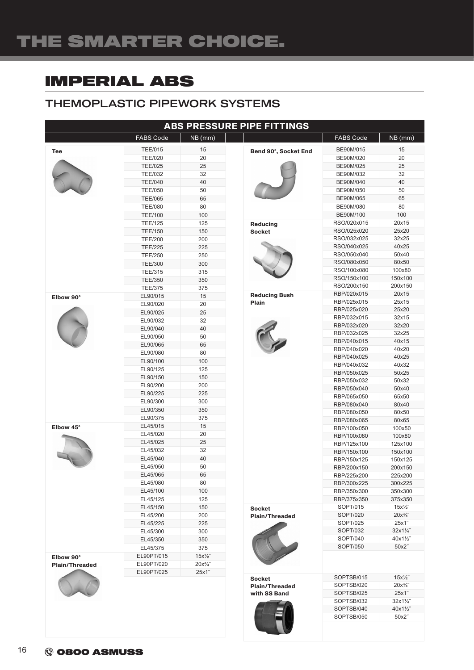## THEMOPLASTIC PIPEWORK SYSTEMS

| <b>ABS PRESSURE PIPE FITTINGS</b> |                                  |                  |                                       |                            |                                      |
|-----------------------------------|----------------------------------|------------------|---------------------------------------|----------------------------|--------------------------------------|
|                                   | <b>FABS Code</b>                 | NB (mm)          |                                       | <b>FABS Code</b>           | NB (mm)                              |
| Tee                               | <b>TEE/015</b>                   | 15               | Bend 90°, Socket End                  | BE90M/015                  | 15                                   |
|                                   | <b>TEE/020</b>                   | 20               |                                       | BE90M/020                  | 20                                   |
|                                   | <b>TEE/025</b>                   | 25               |                                       | BE90M/025                  | 25                                   |
|                                   | <b>TEE/032</b>                   | 32               |                                       | BE90M/032                  | 32                                   |
|                                   | <b>TEE/040</b>                   | 40               |                                       | BE90M/040                  | 40                                   |
|                                   | <b>TEE/050</b>                   | 50               |                                       | BE90M/050                  | 50                                   |
|                                   | <b>TEE/065</b>                   | 65               |                                       | BE90M/065                  | 65                                   |
|                                   | <b>TEE/080</b>                   | 80               |                                       | BE90M/080                  | 80                                   |
|                                   | <b>TEE/100</b>                   | 100              |                                       | BE90M/100                  | 100                                  |
|                                   | <b>TEE/125</b><br><b>TEE/150</b> | 125<br>150       | <b>Reducing</b><br><b>Socket</b>      | RSO/020x015<br>RSO/025x020 | 20x15<br>25x20                       |
|                                   | <b>TEE/200</b>                   | 200              |                                       | RSO/032x025                | 32x25                                |
|                                   | <b>TEE/225</b>                   | 225              |                                       | RSO/040x025                | 40x25                                |
|                                   | <b>TEE/250</b>                   | 250              |                                       | RSO/050x040                | 50x40                                |
|                                   | <b>TEE/300</b>                   | 300              |                                       | RSO/080x050                | 80x50                                |
|                                   | <b>TEE/315</b>                   | 315              |                                       | RSO/100x080                | 100x80                               |
|                                   | <b>TEE/350</b>                   | 350              |                                       | RSO/150x100                | 150x100                              |
|                                   | <b>TEE/375</b>                   | 375              |                                       | RSO/200x150                | 200x150                              |
| Elbow 90°                         | EL90/015                         | 15               | <b>Reducing Bush</b>                  | RBP/020x015                | 20x15                                |
|                                   | EL90/020                         | 20               | Plain                                 | RBP/025x015                | 25x15                                |
|                                   | EL90/025                         | 25               |                                       | RBP/025x020                | 25x20                                |
|                                   | EL90/032                         | 32               |                                       | RBP/032x015<br>RBP/032x020 | 32x15<br>32x20                       |
|                                   | EL90/040                         | 40               |                                       | RBP/032x025                | 32x25                                |
|                                   | EL90/050                         | 50               |                                       | RBP/040x015                | 40x15                                |
|                                   | EL90/065                         | 65               |                                       | RBP/040x020                | 40x20                                |
|                                   | EL90/080                         | 80               |                                       | RBP/040x025                | 40x25                                |
|                                   | EL90/100                         | 100              |                                       | RBP/040x032                | 40x32                                |
|                                   | EL90/125                         | 125              |                                       | RBP/050x025                | 50x25                                |
|                                   | EL90/150<br>EL90/200             | 150<br>200       |                                       | RBP/050x032                | 50x32                                |
|                                   | EL90/225                         | 225              |                                       | RBP/050x040                | 50x40                                |
|                                   | EL90/300                         | 300              |                                       | RBP/065x050                | 65x50                                |
|                                   | EL90/350                         | 350              |                                       | RBP/080x040                | 80x40                                |
|                                   | EL90/375                         | 375              |                                       | RBP/080x050<br>RBP/080x065 | 80x50<br>80x65                       |
| Elbow 45°                         | EL45/015                         | 15               |                                       | RBP/100x050                | 100x50                               |
|                                   | EL45/020                         | 20               |                                       | RBP/100x080                | 100x80                               |
|                                   | EL45/025                         | 25               |                                       | RBP/125x100                | 125x100                              |
|                                   | EL45/032                         | 32               |                                       | RBP/150x100                | 150x100                              |
|                                   | EL45/040                         | 40               |                                       | RBP/150x125                | 150x125                              |
|                                   | EL45/050                         | 50               |                                       | RBP/200x150                | 200x150                              |
|                                   | EL45/065                         | 65               |                                       | RBP/225x200                | 225x200                              |
|                                   | EL45/080                         | 80               |                                       | RBP/300x225                | 300x225                              |
|                                   | EL45/100                         | 100              |                                       | RBP/350x300                | 350x300                              |
|                                   | EL45/125                         | 125              |                                       | RBP/375x350                | 375x350                              |
|                                   | EL45/150<br>EL45/200             | 150<br>200       | <b>Socket</b>                         | SOPT/015<br>SOPT/020       | $15x\frac{1}{2}$<br>$20x\frac{3}{4}$ |
|                                   | EL45/225                         | 225              | <b>Plain/Threaded</b>                 | SOPT/025                   | 25x1"                                |
|                                   | EL45/300                         | 300              |                                       | SOPT/032                   | 32x11/4"                             |
|                                   | EL45/350                         | 350              |                                       | SOPT/040                   | 40x11/2"                             |
|                                   | EL45/375                         | 375              |                                       | SOPT/050                   | 50x2"                                |
| Elbow 90°                         | EL90PT/015                       | $15x\frac{1}{2}$ |                                       |                            |                                      |
| <b>Plain/Threaded</b>             | EL90PT/020                       | $20x\frac{3}{4}$ |                                       |                            |                                      |
|                                   | EL90PT/025                       | 25x1"            |                                       |                            |                                      |
|                                   |                                  |                  | <b>Socket</b>                         | SOPTSB/015                 | $15x\frac{1}{2}$                     |
|                                   |                                  |                  | <b>Plain/Threaded</b><br>with SS Band | SOPTSB/020<br>SOPTSB/025   | $20x\frac{3}{4}$<br>25x1"            |
|                                   |                                  |                  |                                       | SOPTSB/032                 | $32x1\frac{7}{4}$                    |
|                                   |                                  |                  |                                       | SOPTSB/040                 | 40x11/2"                             |
|                                   |                                  |                  |                                       | SOPTSB/050                 | 50x2"                                |
|                                   |                                  |                  |                                       |                            |                                      |
|                                   |                                  |                  |                                       |                            |                                      |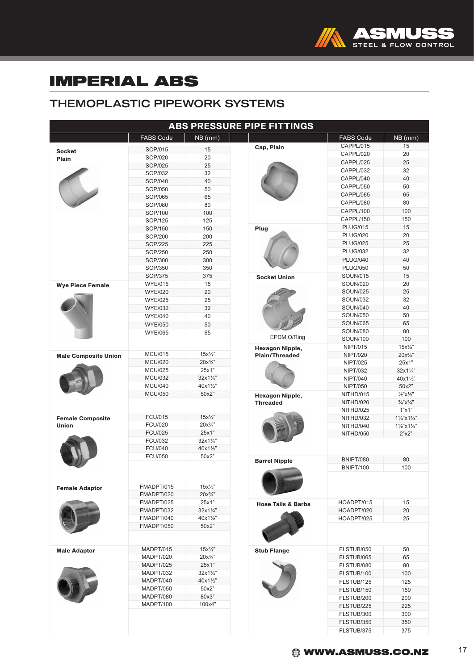

## THEMOPLASTIC PIPEWORK SYSTEMS

| <b>ABS PRESSURE PIPE FITTINGS</b> |                                  |                                     |                               |                  |                                   |
|-----------------------------------|----------------------------------|-------------------------------------|-------------------------------|------------------|-----------------------------------|
|                                   | <b>FABS Code</b>                 | NB (mm)                             |                               | <b>FABS Code</b> | NB (mm)                           |
| <b>Socket</b>                     | SOP/015                          | 15                                  | Cap, Plain                    | CAPPL/015        | 15                                |
| Plain                             | SOP/020                          | 20                                  |                               | CAPPL/020        | 20                                |
|                                   | SOP/025                          | 25                                  |                               | CAPPL/025        | 25                                |
|                                   | SOP/032                          | 32                                  |                               | CAPPL/032        | 32                                |
|                                   | SOP/040                          | 40                                  |                               | CAPPL/040        | 40                                |
|                                   | SOP/050                          | 50                                  |                               | CAPPL/050        | 50                                |
|                                   | SOP/065                          | 65                                  |                               | CAPPL/065        | 65                                |
|                                   | SOP/080                          | 80                                  |                               | CAPPL/080        | 80                                |
|                                   | SOP/100                          | 100                                 |                               | CAPPL/100        | 100                               |
|                                   | SOP/125                          | 125                                 |                               | CAPPL/150        | 150                               |
|                                   | SOP/150                          | 150                                 | Plug                          | <b>PLUG/015</b>  | 15                                |
|                                   | SOP/200                          | 200                                 |                               | <b>PLUG/020</b>  | 20                                |
|                                   | SOP/225                          | 225                                 |                               | <b>PLUG/025</b>  | 25                                |
|                                   | SOP/250                          | 250                                 |                               | <b>PLUG/032</b>  | 32                                |
|                                   | SOP/300                          | 300                                 |                               | <b>PLUG/040</b>  | 40                                |
|                                   | SOP/350                          | 350                                 |                               | <b>PLUG/050</b>  | 50                                |
|                                   | SOP/375                          | 375                                 |                               | <b>SOUN/015</b>  | 15                                |
|                                   | <b>WYE/015</b>                   | 15                                  | <b>Socket Union</b>           | <b>SOUN/020</b>  | 20                                |
| <b>Wye Piece Female</b>           | <b>WYE/020</b>                   | 20                                  |                               | <b>SOUN/025</b>  | 25                                |
|                                   |                                  | 25                                  |                               | <b>SOUN/032</b>  | 32                                |
|                                   | <b>WYE/025</b><br><b>WYE/032</b> | 32                                  |                               | <b>SOUN/040</b>  | 40                                |
|                                   |                                  |                                     |                               | <b>SOUN/050</b>  | 50                                |
|                                   | <b>WYE/040</b>                   | 40                                  |                               |                  |                                   |
|                                   | <b>WYE/050</b>                   | 50                                  |                               | <b>SOUN/065</b>  | 65                                |
|                                   | <b>WYE/065</b>                   | 65                                  | EPDM O/Ring                   | <b>SOUN/080</b>  | 80                                |
|                                   |                                  |                                     |                               | <b>SOUN/100</b>  | 100                               |
|                                   |                                  |                                     | <b>Hexagon Nipple,</b>        | NIPT/015         | $15x\frac{1}{2}$                  |
| <b>Male Composite Union</b>       | <b>MCU/015</b>                   | $15x\frac{1}{2}$<br>$20x^{3}/^{''}$ | <b>Plain/Threaded</b>         | <b>NIPT/020</b>  | $20x^{3}/4$ "                     |
|                                   | <b>MCU/020</b>                   |                                     | <b>Hexagon Nipple,</b>        | <b>NIPT/025</b>  | 25x1"                             |
|                                   | <b>MCU/025</b>                   | 25x1"                               |                               | <b>NIPT/032</b>  | 32x11/4"                          |
|                                   | <b>MCU/032</b>                   | 32x11/4"                            |                               | <b>NIPT/040</b>  | 40x11/2"                          |
|                                   | <b>MCU/040</b>                   | 40x11/2"                            |                               | <b>NIPT/050</b>  | 50x2"                             |
|                                   | <b>MCU/050</b>                   | 50x2"                               |                               | NITHD/015        | $\frac{1}{2}$ "X $\frac{1}{2}$ "  |
|                                   |                                  |                                     | <b>Threaded</b>               | NITHD/020        | $\frac{3}{4}$ "X $\frac{3}{4}$ "  |
|                                   | <b>FCU/015</b>                   | $15x\frac{1}{2}$                    |                               | NITHD/025        | 1"x1"                             |
| <b>Female Composite</b>           | <b>FCU/020</b>                   | $20x^{3}/^{n}$                      |                               | NITHD/032        | $1\frac{1}{4}$ x $1\frac{1}{4}$ " |
| <b>Union</b>                      | <b>FCU/025</b>                   | 25x1"                               |                               | NITHD/040        | $1\frac{1}{2}$ x $1\frac{1}{2}$   |
|                                   |                                  | $32x1\frac{1}{4}$                   |                               | NITHD/050        | 2"x2"                             |
|                                   | <b>FCU/032</b>                   |                                     |                               |                  |                                   |
|                                   | <b>FCU/040</b><br><b>FCU/050</b> | 40x11/2"                            |                               |                  |                                   |
|                                   |                                  | 50x2"                               | <b>Barrel Nipple</b>          | <b>BNIPT/080</b> | 80                                |
|                                   |                                  |                                     |                               | <b>BNIPT/100</b> | 100                               |
|                                   |                                  |                                     |                               |                  |                                   |
|                                   | FMADPT/015                       | $15x\frac{1}{2}$                    |                               |                  |                                   |
| <b>Female Adaptor</b>             | FMADPT/020                       | $20x\frac{3}{4}$                    |                               |                  |                                   |
|                                   | FMADPT/025                       | 25x1"                               |                               | HOADPT/015       | 15                                |
|                                   |                                  | $32x1\frac{1}{4}$                   | <b>Hose Tails &amp; Barbs</b> |                  | 20                                |
|                                   | FMADPT/032<br>FMADPT/040         | 40x11/2"                            |                               | HOADPT/020       | 25                                |
|                                   |                                  |                                     |                               | HOADPT/025       |                                   |
|                                   | FMADPT/050                       | 50x2"                               |                               |                  |                                   |
|                                   |                                  |                                     |                               |                  |                                   |
|                                   | MADPT/015                        | $15x\frac{1}{2}$                    |                               | FLSTUB/050       | 50                                |
| <b>Male Adaptor</b>               | MADPT/020                        | $20x\frac{3}{4}$                    | <b>Stub Flange</b>            | FLSTUB/065       | 65                                |
|                                   | MADPT/025                        | 25x1"                               |                               | FLSTUB/080       | 80                                |
|                                   | MADPT/032                        | $32x1\frac{1}{4}$                   |                               |                  |                                   |
|                                   | MADPT/040                        | 40x11/2"                            |                               | FLSTUB/100       | 100                               |
|                                   | MADPT/050                        | 50x2"                               |                               | FLSTUB/125       | 125                               |
|                                   |                                  | 80x3"                               |                               | FLSTUB/150       | 150                               |
|                                   | MADPT/080                        |                                     |                               | FLSTUB/200       | 200                               |
|                                   | MADPT/100                        | 100x4"                              |                               | FLSTUB/225       | 225                               |
|                                   |                                  |                                     |                               | FLSTUB/300       | 300                               |
|                                   |                                  |                                     |                               | FLSTUB/350       | 350                               |
|                                   |                                  |                                     |                               | FLSTUB/375       | 375                               |